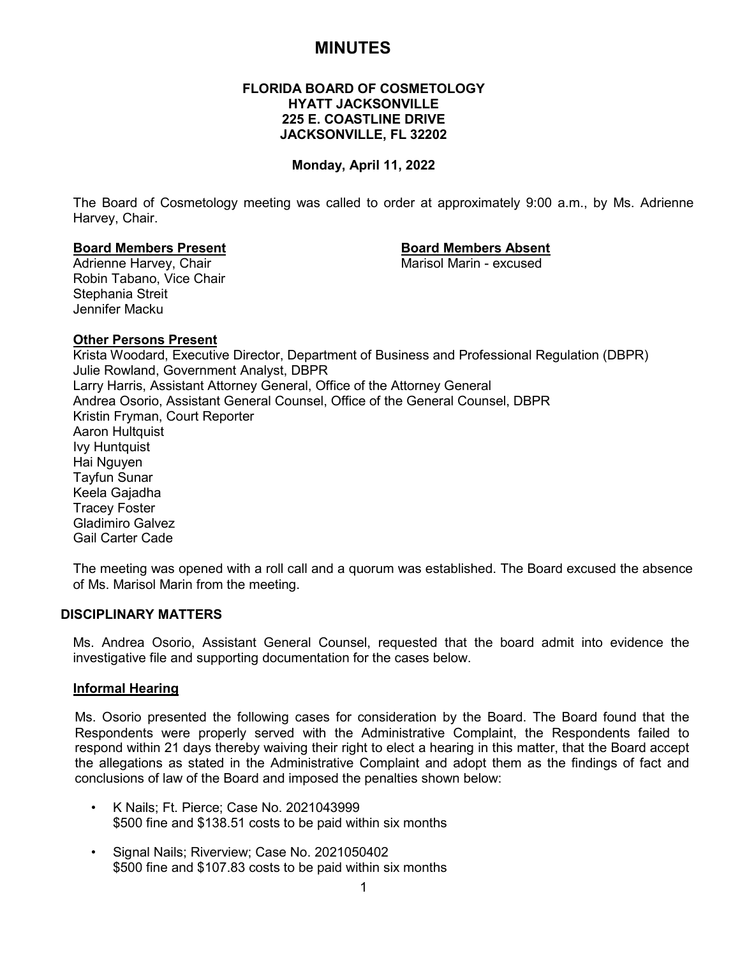# **MINUTES**

# **FLORIDA BOARD OF COSMETOLOGY HYATT JACKSONVILLE 225 E. COASTLINE DRIVE JACKSONVILLE, FL 32202**

# **Monday, April 11, 2022**

The Board of Cosmetology meeting was called to order at approximately 9:00 a.m., by Ms. Adrienne Harvey, Chair.

# **Board Members Present Board Members Absent**

Adrienne Harvey, Chair Robin Tabano, Vice Chair Stephania Streit Jennifer Macku

# **Other Persons Present**

Krista Woodard, Executive Director, Department of Business and Professional Regulation (DBPR) Julie Rowland, Government Analyst, DBPR Larry Harris, Assistant Attorney General, Office of the Attorney General Andrea Osorio, Assistant General Counsel, Office of the General Counsel, DBPR Kristin Fryman, Court Reporter Aaron Hultquist Ivy Huntquist Hai Nguyen Tayfun Sunar Keela Gajadha Tracey Foster Gladimiro Galvez Gail Carter Cade

The meeting was opened with a roll call and a quorum was established. The Board excused the absence of Ms. Marisol Marin from the meeting.

# **DISCIPLINARY MATTERS**

Ms. Andrea Osorio, Assistant General Counsel, requested that the board admit into evidence the investigative file and supporting documentation for the cases below.

# **Informal Hearing**

Ms. Osorio presented the following cases for consideration by the Board. The Board found that the Respondents were properly served with the Administrative Complaint, the Respondents failed to respond within 21 days thereby waiving their right to elect a hearing in this matter, that the Board accept the allegations as stated in the Administrative Complaint and adopt them as the findings of fact and conclusions of law of the Board and imposed the penalties shown below:

- K Nails; Ft. Pierce; Case No. 2021043999 \$500 fine and \$138.51 costs to be paid within six months
- Signal Nails; Riverview; Case No. 2021050402 \$500 fine and \$107.83 costs to be paid within six months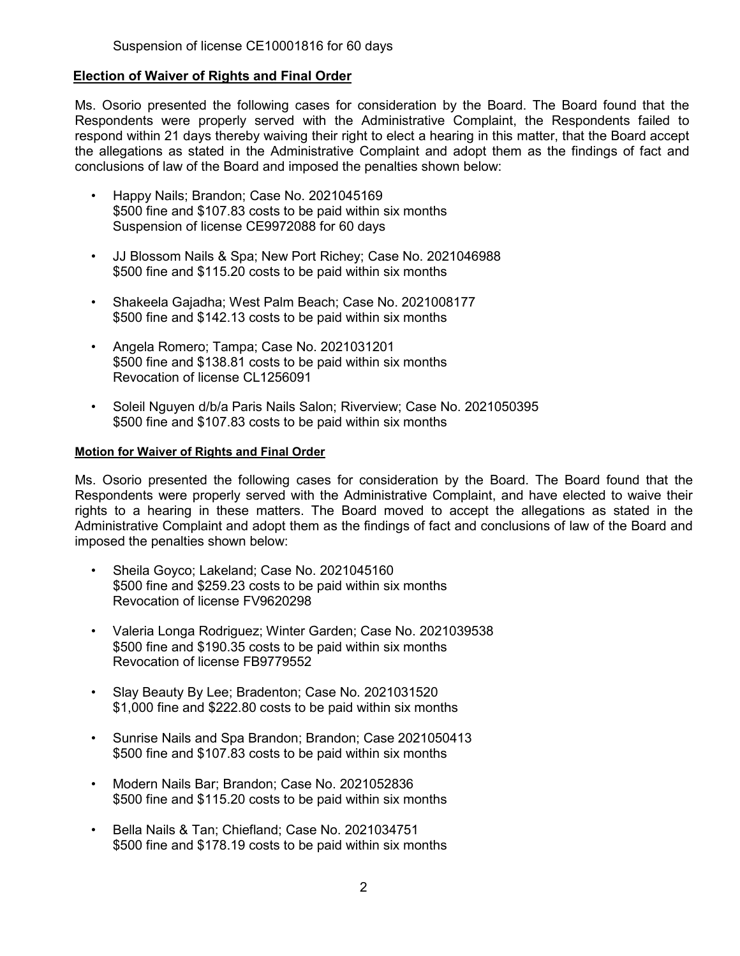# **Election of Waiver of Rights and Final Order**

Ms. Osorio presented the following cases for consideration by the Board. The Board found that the Respondents were properly served with the Administrative Complaint, the Respondents failed to respond within 21 days thereby waiving their right to elect a hearing in this matter, that the Board accept the allegations as stated in the Administrative Complaint and adopt them as the findings of fact and conclusions of law of the Board and imposed the penalties shown below:

- Happy Nails; Brandon; Case No. 2021045169 \$500 fine and \$107.83 costs to be paid within six months Suspension of license CE9972088 for 60 days
- JJ Blossom Nails & Spa; New Port Richey; Case No. 2021046988 \$500 fine and \$115.20 costs to be paid within six months
- Shakeela Gajadha; West Palm Beach; Case No. 2021008177 \$500 fine and \$142.13 costs to be paid within six months
- Angela Romero; Tampa; Case No. 2021031201 \$500 fine and \$138.81 costs to be paid within six months Revocation of license CL1256091
- Soleil Nguyen d/b/a Paris Nails Salon; Riverview; Case No. 2021050395 \$500 fine and \$107.83 costs to be paid within six months

#### **Motion for Waiver of Rights and Final Order**

Ms. Osorio presented the following cases for consideration by the Board. The Board found that the Respondents were properly served with the Administrative Complaint, and have elected to waive their rights to a hearing in these matters. The Board moved to accept the allegations as stated in the Administrative Complaint and adopt them as the findings of fact and conclusions of law of the Board and imposed the penalties shown below:

- Sheila Goyco; Lakeland; Case No. 2021045160 \$500 fine and \$259.23 costs to be paid within six months Revocation of license FV9620298
- Valeria Longa Rodriguez; Winter Garden; Case No. 2021039538 \$500 fine and \$190.35 costs to be paid within six months Revocation of license FB9779552
- Slay Beauty By Lee; Bradenton; Case No. 2021031520 \$1,000 fine and \$222.80 costs to be paid within six months
- Sunrise Nails and Spa Brandon; Brandon; Case 2021050413 \$500 fine and \$107.83 costs to be paid within six months
- Modern Nails Bar; Brandon; Case No. 2021052836 \$500 fine and \$115.20 costs to be paid within six months
- Bella Nails & Tan; Chiefland; Case No. 2021034751 \$500 fine and \$178.19 costs to be paid within six months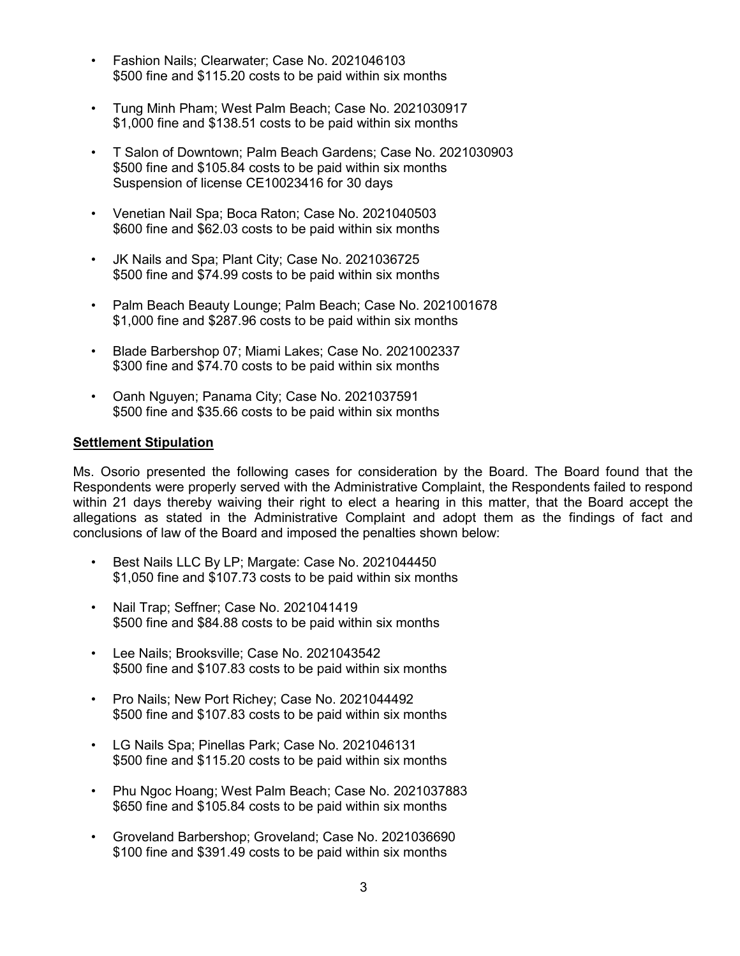- Fashion Nails; Clearwater; Case No. 2021046103 \$500 fine and \$115.20 costs to be paid within six months
- Tung Minh Pham; West Palm Beach; Case No. 2021030917 \$1,000 fine and \$138.51 costs to be paid within six months
- T Salon of Downtown; Palm Beach Gardens; Case No. 2021030903 \$500 fine and \$105.84 costs to be paid within six months Suspension of license CE10023416 for 30 days
- Venetian Nail Spa; Boca Raton; Case No. 2021040503 \$600 fine and \$62.03 costs to be paid within six months
- JK Nails and Spa; Plant City; Case No. 2021036725 \$500 fine and \$74.99 costs to be paid within six months
- Palm Beach Beauty Lounge; Palm Beach; Case No. 2021001678 \$1,000 fine and \$287.96 costs to be paid within six months
- Blade Barbershop 07; Miami Lakes; Case No. 2021002337 \$300 fine and \$74.70 costs to be paid within six months
- Oanh Nguyen; Panama City; Case No. 2021037591 \$500 fine and \$35.66 costs to be paid within six months

# **Settlement Stipulation**

Ms. Osorio presented the following cases for consideration by the Board. The Board found that the Respondents were properly served with the Administrative Complaint, the Respondents failed to respond within 21 days thereby waiving their right to elect a hearing in this matter, that the Board accept the allegations as stated in the Administrative Complaint and adopt them as the findings of fact and conclusions of law of the Board and imposed the penalties shown below:

- Best Nails LLC By LP; Margate: Case No. 2021044450 \$1,050 fine and \$107.73 costs to be paid within six months
- Nail Trap; Seffner; Case No. 2021041419 \$500 fine and \$84.88 costs to be paid within six months
- Lee Nails; Brooksville; Case No. 2021043542 \$500 fine and \$107.83 costs to be paid within six months
- Pro Nails; New Port Richey; Case No. 2021044492 \$500 fine and \$107.83 costs to be paid within six months
- LG Nails Spa; Pinellas Park; Case No. 2021046131 \$500 fine and \$115.20 costs to be paid within six months
- Phu Ngoc Hoang; West Palm Beach; Case No. 2021037883 \$650 fine and \$105.84 costs to be paid within six months
- Groveland Barbershop; Groveland; Case No. 2021036690 \$100 fine and \$391.49 costs to be paid within six months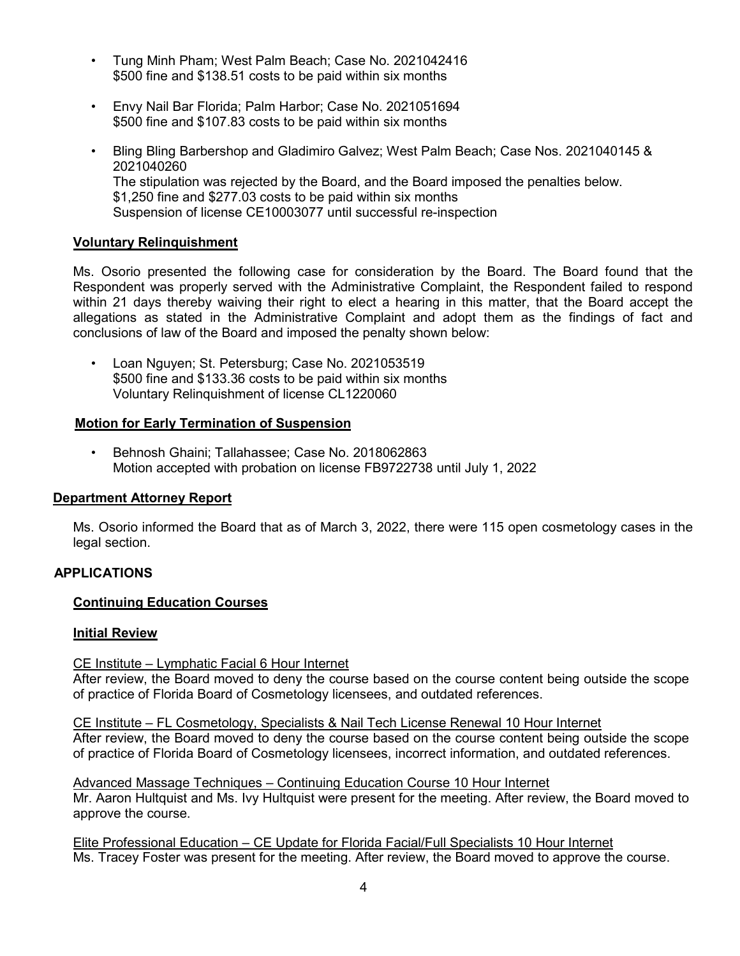- Tung Minh Pham; West Palm Beach; Case No. 2021042416 \$500 fine and \$138.51 costs to be paid within six months
- Envy Nail Bar Florida; Palm Harbor; Case No. 2021051694 \$500 fine and \$107.83 costs to be paid within six months
- Bling Bling Barbershop and Gladimiro Galvez; West Palm Beach; Case Nos. 2021040145 & 2021040260 The stipulation was rejected by the Board, and the Board imposed the penalties below. \$1,250 fine and \$277.03 costs to be paid within six months Suspension of license CE10003077 until successful re-inspection

# **Voluntary Relinquishment**

Ms. Osorio presented the following case for consideration by the Board. The Board found that the Respondent was properly served with the Administrative Complaint, the Respondent failed to respond within 21 days thereby waiving their right to elect a hearing in this matter, that the Board accept the allegations as stated in the Administrative Complaint and adopt them as the findings of fact and conclusions of law of the Board and imposed the penalty shown below:

• Loan Nguyen; St. Petersburg; Case No. 2021053519 \$500 fine and \$133.36 costs to be paid within six months Voluntary Relinquishment of license CL1220060

# **Motion for Early Termination of Suspension**

• Behnosh Ghaini; Tallahassee; Case No. 2018062863 Motion accepted with probation on license FB9722738 until July 1, 2022

# **Department Attorney Report**

Ms. Osorio informed the Board that as of March 3, 2022, there were 115 open cosmetology cases in the legal section.

# **APPLICATIONS**

# **Continuing Education Courses**

# **Initial Review**

# CE Institute – Lymphatic Facial 6 Hour Internet

After review, the Board moved to deny the course based on the course content being outside the scope of practice of Florida Board of Cosmetology licensees, and outdated references.

CE Institute – FL Cosmetology, Specialists & Nail Tech License Renewal 10 Hour Internet After review, the Board moved to deny the course based on the course content being outside the scope of practice of Florida Board of Cosmetology licensees, incorrect information, and outdated references.

Advanced Massage Techniques – Continuing Education Course 10 Hour Internet Mr. Aaron Hultquist and Ms. Ivy Hultquist were present for the meeting. After review, the Board moved to approve the course.

Elite Professional Education – CE Update for Florida Facial/Full Specialists 10 Hour Internet Ms. Tracey Foster was present for the meeting. After review, the Board moved to approve the course.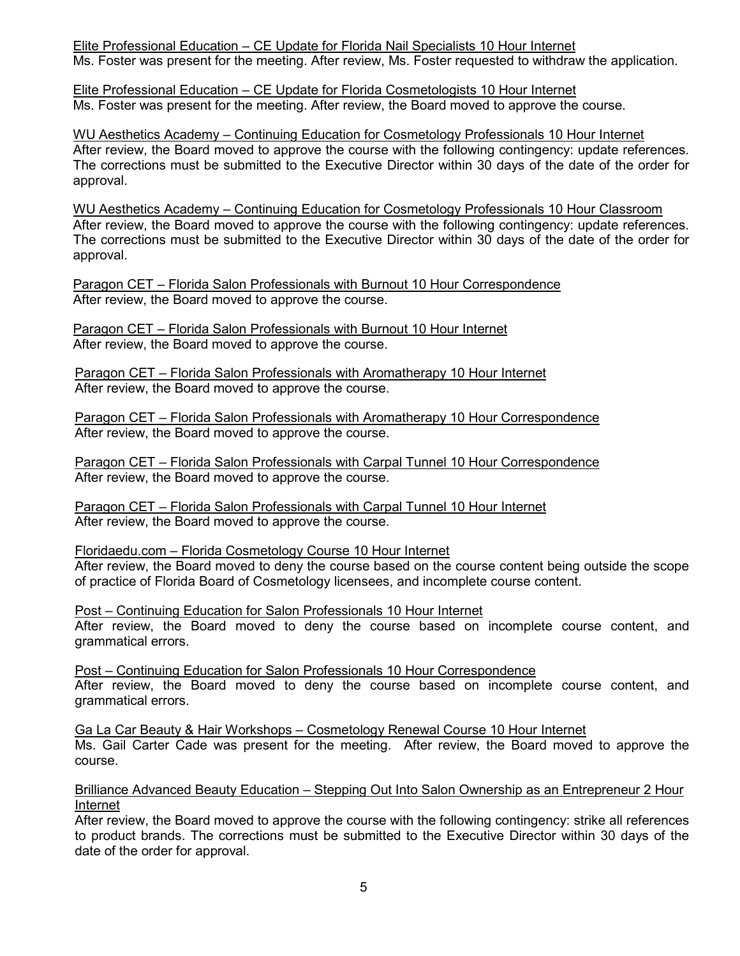Elite Professional Education – CE Update for Florida Nail Specialists 10 Hour Internet Ms. Foster was present for the meeting. After review, Ms. Foster requested to withdraw the application.

Elite Professional Education – CE Update for Florida Cosmetologists 10 Hour Internet Ms. Foster was present for the meeting. After review, the Board moved to approve the course.

WU Aesthetics Academy – Continuing Education for Cosmetology Professionals 10 Hour Internet After review, the Board moved to approve the course with the following contingency: update references. The corrections must be submitted to the Executive Director within 30 days of the date of the order for approval.

WU Aesthetics Academy – Continuing Education for Cosmetology Professionals 10 Hour Classroom After review, the Board moved to approve the course with the following contingency: update references. The corrections must be submitted to the Executive Director within 30 days of the date of the order for approval.

Paragon CET – Florida Salon Professionals with Burnout 10 Hour Correspondence After review, the Board moved to approve the course.

Paragon CET – Florida Salon Professionals with Burnout 10 Hour Internet After review, the Board moved to approve the course.

Paragon CET – Florida Salon Professionals with Aromatherapy 10 Hour Internet After review, the Board moved to approve the course.

Paragon CET – Florida Salon Professionals with Aromatherapy 10 Hour Correspondence After review, the Board moved to approve the course.

Paragon CET – Florida Salon Professionals with Carpal Tunnel 10 Hour Correspondence After review, the Board moved to approve the course.

Paragon CET – Florida Salon Professionals with Carpal Tunnel 10 Hour Internet After review, the Board moved to approve the course.

Floridaedu.com – Florida Cosmetology Course 10 Hour Internet

After review, the Board moved to deny the course based on the course content being outside the scope of practice of Florida Board of Cosmetology licensees, and incomplete course content.

Post – Continuing Education for Salon Professionals 10 Hour Internet After review, the Board moved to deny the course based on incomplete course content, and grammatical errors.

Post – Continuing Education for Salon Professionals 10 Hour Correspondence After review, the Board moved to deny the course based on incomplete course content, and grammatical errors.

Ga La Car Beauty & Hair Workshops – Cosmetology Renewal Course 10 Hour Internet Ms. Gail Carter Cade was present for the meeting. After review, the Board moved to approve the course.

Brilliance Advanced Beauty Education – Stepping Out Into Salon Ownership as an Entrepreneur 2 Hour Internet

After review, the Board moved to approve the course with the following contingency: strike all references to product brands. The corrections must be submitted to the Executive Director within 30 days of the date of the order for approval.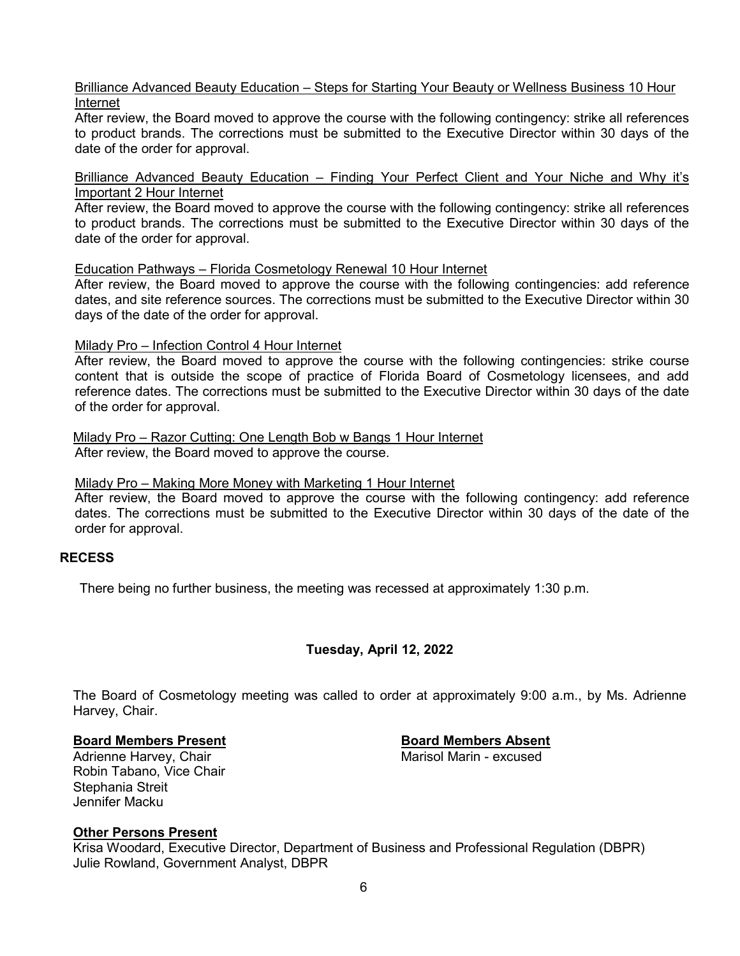# Brilliance Advanced Beauty Education – Steps for Starting Your Beauty or Wellness Business 10 Hour Internet

After review, the Board moved to approve the course with the following contingency: strike all references to product brands. The corrections must be submitted to the Executive Director within 30 days of the date of the order for approval.

Brilliance Advanced Beauty Education – Finding Your Perfect Client and Your Niche and Why it's Important 2 Hour Internet

After review, the Board moved to approve the course with the following contingency: strike all references to product brands. The corrections must be submitted to the Executive Director within 30 days of the date of the order for approval.

Education Pathways – Florida Cosmetology Renewal 10 Hour Internet

After review, the Board moved to approve the course with the following contingencies: add reference dates, and site reference sources. The corrections must be submitted to the Executive Director within 30 days of the date of the order for approval.

#### Milady Pro – Infection Control 4 Hour Internet

After review, the Board moved to approve the course with the following contingencies: strike course content that is outside the scope of practice of Florida Board of Cosmetology licensees, and add reference dates. The corrections must be submitted to the Executive Director within 30 days of the date of the order for approval.

Milady Pro – Razor Cutting: One Length Bob w Bangs 1 Hour Internet After review, the Board moved to approve the course.

#### Milady Pro – Making More Money with Marketing 1 Hour Internet

After review, the Board moved to approve the course with the following contingency: add reference dates. The corrections must be submitted to the Executive Director within 30 days of the date of the order for approval.

# **RECESS**

There being no further business, the meeting was recessed at approximately 1:30 p.m.

# **Tuesday, April 12, 2022**

The Board of Cosmetology meeting was called to order at approximately 9:00 a.m., by Ms. Adrienne Harvey, Chair.

# **Board Members Present Board Members Absent**

Adrienne Harvey, Chair Robin Tabano, Vice Chair Stephania Streit Jennifer Macku

# **Other Persons Present**

Krisa Woodard, Executive Director, Department of Business and Professional Regulation (DBPR) Julie Rowland, Government Analyst, DBPR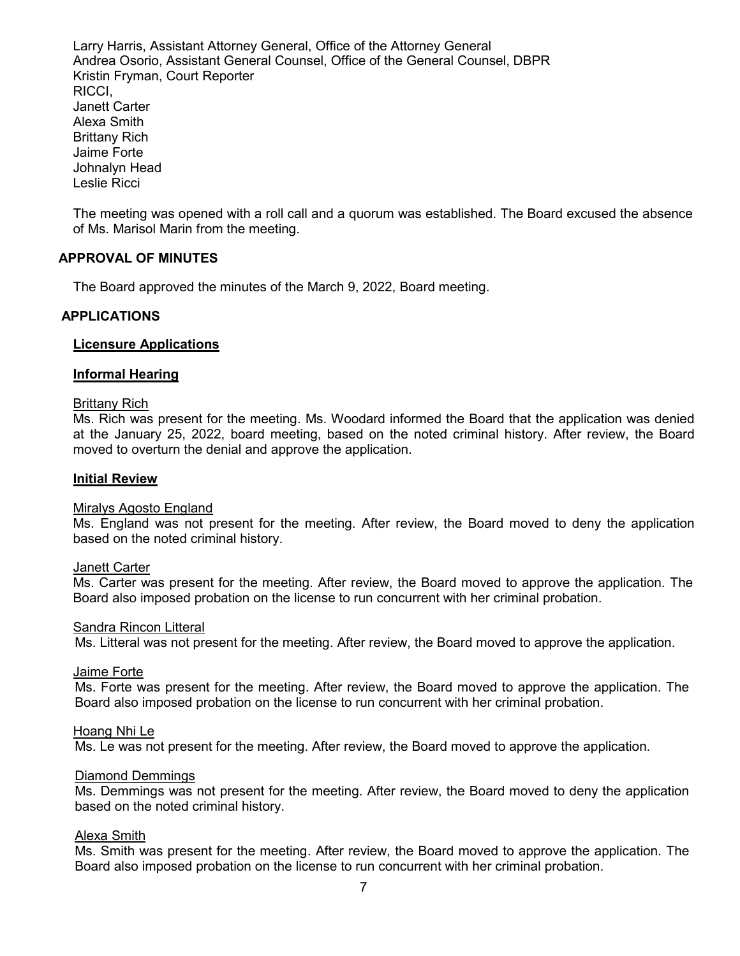Larry Harris, Assistant Attorney General, Office of the Attorney General Andrea Osorio, Assistant General Counsel, Office of the General Counsel, DBPR Kristin Fryman, Court Reporter RICCI, Janett Carter Alexa Smith Brittany Rich Jaime Forte Johnalyn Head Leslie Ricci

The meeting was opened with a roll call and a quorum was established. The Board excused the absence of Ms. Marisol Marin from the meeting.

# **APPROVAL OF MINUTES**

The Board approved the minutes of the March 9, 2022, Board meeting.

### **APPLICATIONS**

#### **Licensure Applications**

#### **Informal Hearing**

#### Brittany Rich

Ms. Rich was present for the meeting. Ms. Woodard informed the Board that the application was denied at the January 25, 2022, board meeting, based on the noted criminal history. After review, the Board moved to overturn the denial and approve the application.

#### **Initial Review**

#### Miralys Agosto England

Ms. England was not present for the meeting. After review, the Board moved to deny the application based on the noted criminal history.

#### Janett Carter

Ms. Carter was present for the meeting. After review, the Board moved to approve the application. The Board also imposed probation on the license to run concurrent with her criminal probation.

#### Sandra Rincon Litteral

Ms. Litteral was not present for the meeting. After review, the Board moved to approve the application.

#### Jaime Forte

Ms. Forte was present for the meeting. After review, the Board moved to approve the application. The Board also imposed probation on the license to run concurrent with her criminal probation.

#### Hoang Nhi Le

Ms. Le was not present for the meeting. After review, the Board moved to approve the application.

### Diamond Demmings

Ms. Demmings was not present for the meeting. After review, the Board moved to deny the application based on the noted criminal history.

#### Alexa Smith

Ms. Smith was present for the meeting. After review, the Board moved to approve the application. The Board also imposed probation on the license to run concurrent with her criminal probation.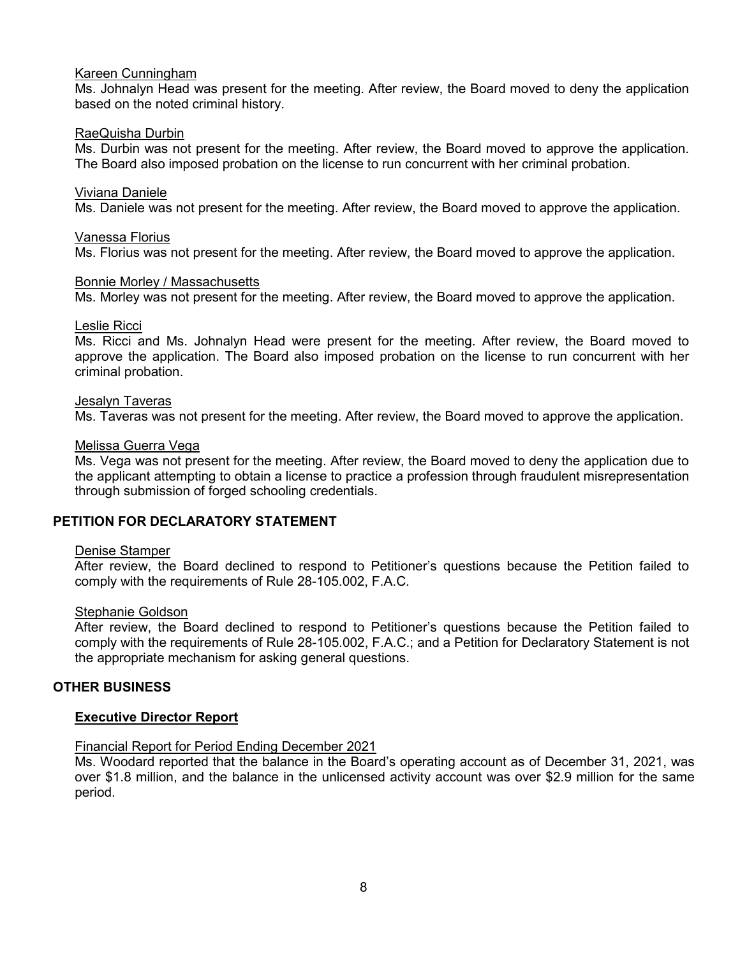# Kareen Cunningham

Ms. Johnalyn Head was present for the meeting. After review, the Board moved to deny the application based on the noted criminal history.

# RaeQuisha Durbin

Ms. Durbin was not present for the meeting. After review, the Board moved to approve the application. The Board also imposed probation on the license to run concurrent with her criminal probation.

# Viviana Daniele

Ms. Daniele was not present for the meeting. After review, the Board moved to approve the application.

# Vanessa Florius

Ms. Florius was not present for the meeting. After review, the Board moved to approve the application.

# Bonnie Morley / Massachusetts

Ms. Morley was not present for the meeting. After review, the Board moved to approve the application.

#### Leslie Ricci

Ms. Ricci and Ms. Johnalyn Head were present for the meeting. After review, the Board moved to approve the application. The Board also imposed probation on the license to run concurrent with her criminal probation.

### Jesalyn Taveras

Ms. Taveras was not present for the meeting. After review, the Board moved to approve the application.

### Melissa Guerra Vega

Ms. Vega was not present for the meeting. After review, the Board moved to deny the application due to the applicant attempting to obtain a license to practice a profession through fraudulent misrepresentation through submission of forged schooling credentials.

# **PETITION FOR DECLARATORY STATEMENT**

# Denise Stamper

After review, the Board declined to respond to Petitioner's questions because the Petition failed to comply with the requirements of Rule 28-105.002, F.A.C.

# Stephanie Goldson

After review, the Board declined to respond to Petitioner's questions because the Petition failed to comply with the requirements of Rule 28-105.002, F.A.C.; and a Petition for Declaratory Statement is not the appropriate mechanism for asking general questions.

# **OTHER BUSINESS**

# **Executive Director Report**

# Financial Report for Period Ending December 2021

Ms. Woodard reported that the balance in the Board's operating account as of December 31, 2021, was over \$1.8 million, and the balance in the unlicensed activity account was over \$2.9 million for the same period.